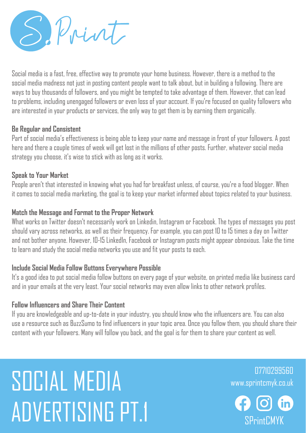

Social media is a fast, free, effective way to promote your home business. However, there is a method to the social media madness not just in posting content people want to talk about, but in building a following. There are ways to buy thousands of followers, and you might be tempted to take advantage of them. However, that can lead to problems, including unengaged followers or even loss of your account. If you're focused on quality followers who are interested in your products or services, the only way to get them is by earning them organically.

#### **Be Regular and Consistent**

Part of social media's effectiveness is being able to keep your name and message in front of your followers. A post here and there a couple times of week will get lost in the millions of other posts. Further, whatever social media strategy you choose, it's wise to stick with as long as it works.

#### **Speak to Your Market**

People aren't that interested in knowing what you had for breakfast unless, of course, you're a food blogger. When it comes to social media marketing, the goal is to keep your market informed about topics related to your business.

## **Match the Message and Format to the Proper Network**

What works on Twitter doesn't necessarily work on Linkedin, Instagram or Facebook. The types of messages you post should vary across networks, as well as their frequency. For example, you can post 10 to 15 times a day on Twitter and not bother anyone. However, 10-15 LinkedIn, Facebook or Instagram posts might appear obnoxious. Take the time to learn and study the social media networks you use and fit your posts to each.

#### **Include Social Media Follow Buttons Everywhere Possible**

It's a good idea to put social media follow buttons on every page of your website, on printed media like business card and in your emails at the very least. Your social networks may even allow links to other network profiles.

#### **Follow Influencers and Share Their Content**

If you are knowledgeable and up-to-date in your industry, you should know who the influencers are. You can also use a resource such as BuzzSumo to find influencers in your topic area. Once you follow them, you should share their content with your followers. Many will follow you back, and the goal is for them to share your content as well.

# SOCIAL MEDIA ADVERTISING PT.1 SPEITLEMYK

www.sprintcmyk.co.uk 07710299560